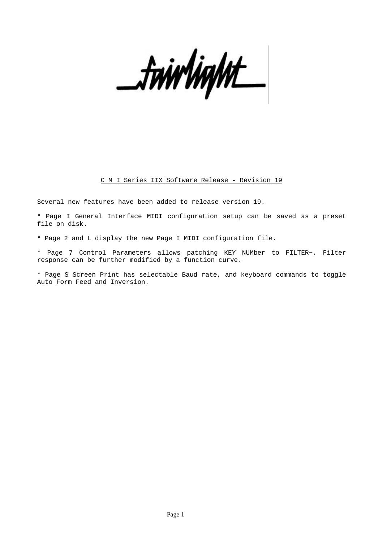\_twirlight

# C M I Series IIX Software Release - Revision 19

Several new features have been added to release version 19.

\* Page I General Interface MIDI configuration setup can be saved as a preset file on disk.

- \* Page 2 and L display the new Page I MIDI configuration file.
- \* Page 7 Control Parameters allows patching KEY NUMber to FILTER~. Filter response can be further modified by a function curve.

\* Page S Screen Print has selectable Baud rate, and keyboard commands to toggle Auto Form Feed and Inversion.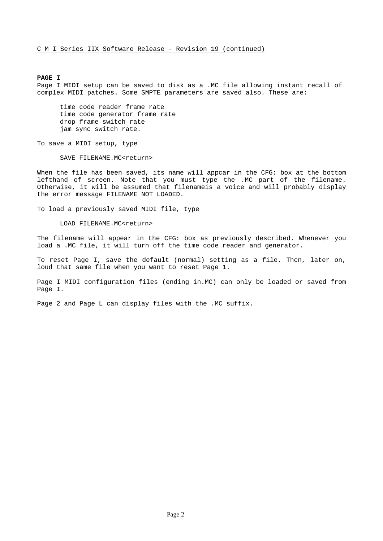### **PAGE I**

Page I MIDI setup can be saved to disk as a .MC file allowing instant recall of complex MIDI patches. Some SMPTE parameters are saved also. These are:

time code reader frame rate time code generator frame rate drop frame switch rate jam sync switch rate.

To save a MIDI setup, type

SAVE FILENAME.MC<return>

When the file has been saved, its name will appcar in the CFG: box at the bottom lefthand of screen. Note that you must type the .MC part of the filename. Otherwise, it will be assumed that filenameis a voice and will probably display the error message FILENAME NOT LOADED.

To load a previously saved MIDI file, type

LOAD FILENAME.MC<return>

The filename will appear in the CFG: box as previously described. Whenever you load a .MC file, it will turn off the time code reader and generator.

To reset Page I, save the default (normal) setting as a file. Thcn, later on, loud that same file when you want to reset Page 1.

Page I MIDI configuration files (ending in.MC) can only be loaded or saved from Page I.

Page 2 and Page L can display files with the .MC suffix.